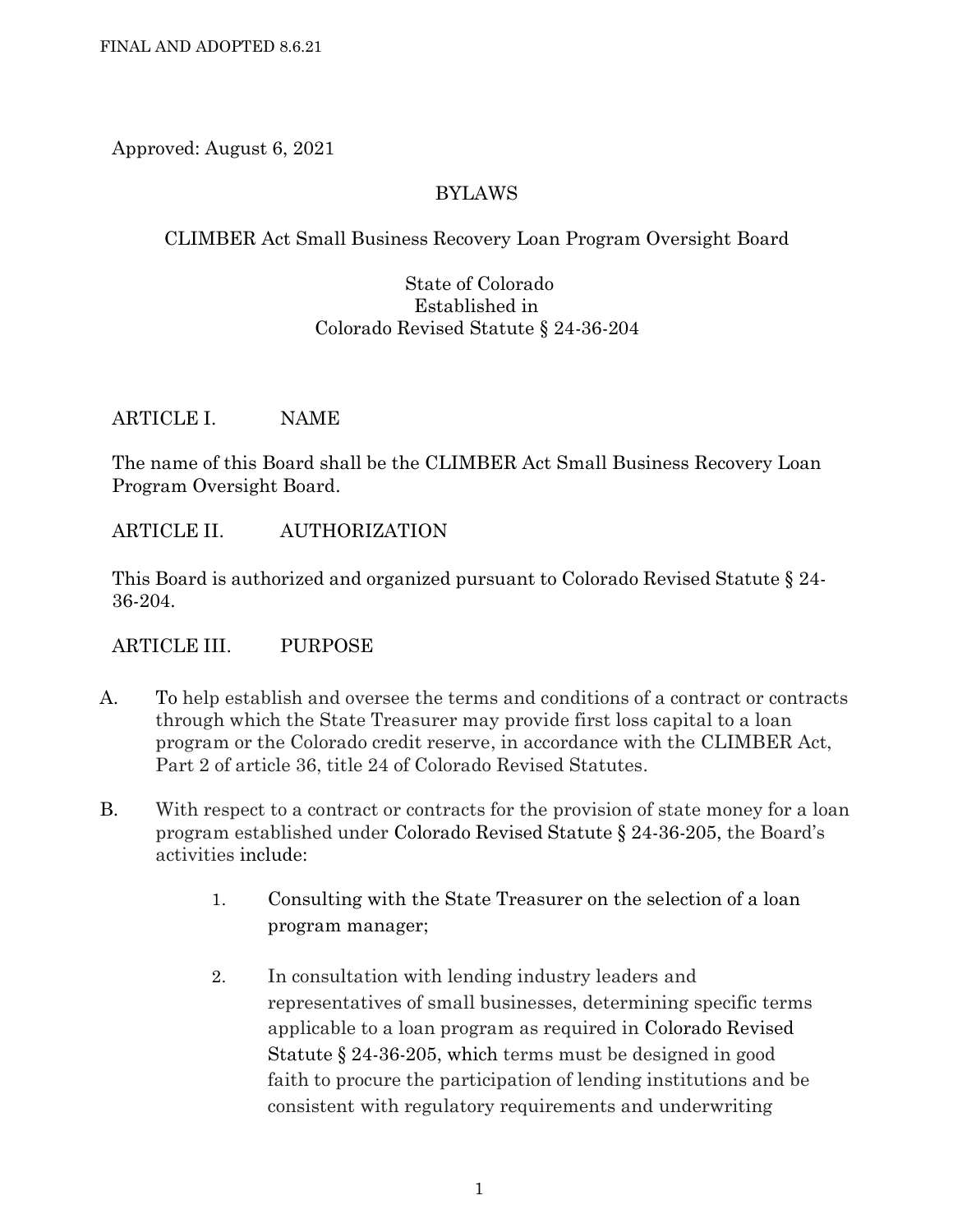Approved: August 6, 2021

## BYLAWS

## CLIMBER Act Small Business Recovery Loan Program Oversight Board

#### State of Colorado Established in Colorado Revised Statute § 24-36-204

#### ARTICLE I. NAME

The name of this Board shall be the CLIMBER Act Small Business Recovery Loan Program Oversight Board.

ARTICLE II. AUTHORIZATION

This Board is authorized and organized pursuant to Colorado Revised Statute § 24- 36-204.

ARTICLE III. PURPOSE

- A. To help establish and oversee the terms and conditions of a contract or contracts through which the State Treasurer may provide first loss capital to a loan program or the Colorado credit reserve, in accordance with the CLIMBER Act, Part 2 of article 36, title 24 of Colorado Revised Statutes.
- B. With respect to a contract or contracts for the provision of state money for a loan program established under Colorado Revised Statute § 24-36-205, the Board's activities include:
	- 1. Consulting with the State Treasurer on the selection of a loan program manager;
	- 2. In consultation with lending industry leaders and representatives of small businesses, determining specific terms applicable to a loan program as required in Colorado Revised Statute § 24-36-205, which terms must be designed in good faith to procure the participation of lending institutions and be consistent with regulatory requirements and underwriting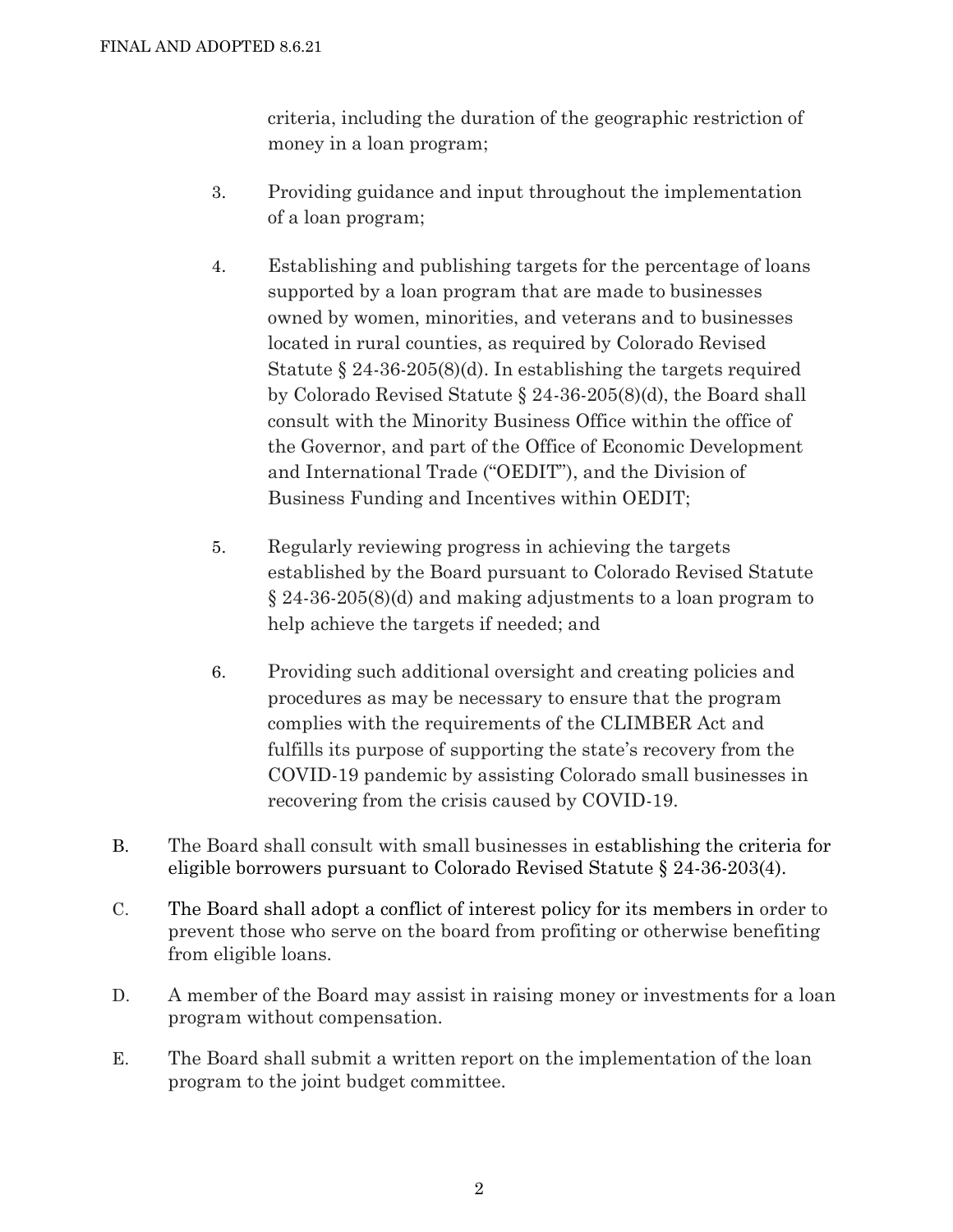criteria, including the duration of the geographic restriction of money in a loan program;

- 3. Providing guidance and input throughout the implementation of a loan program;
- 4. Establishing and publishing targets for the percentage of loans supported by a loan program that are made to businesses owned by women, minorities, and veterans and to businesses located in rural counties, as required by Colorado Revised Statute § 24-36-205(8)(d). In establishing the targets required by Colorado Revised Statute § 24-36-205(8)(d), the Board shall consult with the Minority Business Office within the office of the Governor, and part of the Office of Economic Development and International Trade ("OEDIT"), and the Division of Business Funding and Incentives within OEDIT;
- 5. Regularly reviewing progress in achieving the targets established by the Board pursuant to Colorado Revised Statute § 24-36-205(8)(d) and making adjustments to a loan program to help achieve the targets if needed; and
- 6. Providing such additional oversight and creating policies and procedures as may be necessary to ensure that the program complies with the requirements of the CLIMBER Act and fulfills its purpose of supporting the state's recovery from the COVID-19 pandemic by assisting Colorado small businesses in recovering from the crisis caused by COVID-19.
- B. The Board shall consult with small businesses in establishing the criteria for eligible borrowers pursuant to Colorado Revised Statute § 24-36-203(4).
- C. The Board shall adopt a conflict of interest policy for its members in order to prevent those who serve on the board from profiting or otherwise benefiting from eligible loans.
- D. A member of the Board may assist in raising money or investments for a loan program without compensation.
- E. The Board shall submit a written report on the implementation of the loan program to the joint budget committee.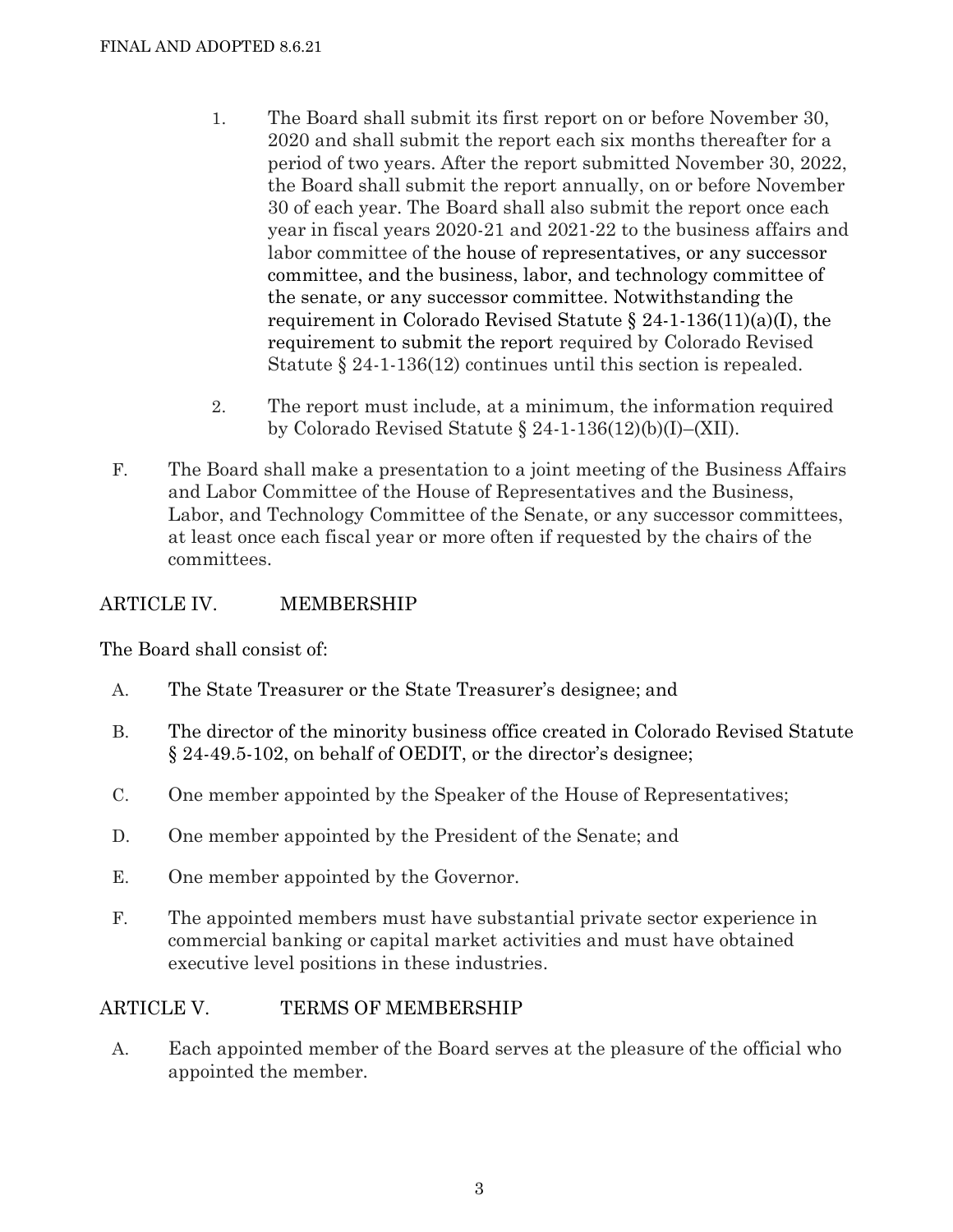- 1. The Board shall submit its first report on or before November 30, 2020 and shall submit the report each six months thereafter for a period of two years. After the report submitted November 30, 2022, the Board shall submit the report annually, on or before November 30 of each year. The Board shall also submit the report once each year in fiscal years 2020-21 and 2021-22 to the business affairs and labor committee of the house of representatives, or any successor committee, and the business, labor, and technology committee of the senate, or any successor committee. Notwithstanding the requirement in [Colorado Revised Statute § 24-1-136\(11\)\(a\)\(I\),](about:blank#co_pp_4c32000075221) the requirement to submit the report required by Colorado Revised Statute § 24-1-136(12) continues until this section is repealed.
- 2. The report must include, at a minimum, the information required by Colorado Revised Statute § 24-1-136(12)(b)(I)–(XII).
- F. The Board shall make a presentation to a joint meeting of the Business Affairs and Labor Committee of the House of Representatives and the Business, Labor, and Technology Committee of the Senate, or any successor committees, at least once each fiscal year or more often if requested by the chairs of the committees.

## ARTICLE IV. MEMBERSHIP

The Board shall consist of:

- A. The State Treasurer or the State Treasurer's designee; and
- B. The director of the minority business office created in Colorado Revised Statute § 24-49.5-102, on behalf of OEDIT, or the director's designee;
- C. One member appointed by the Speaker of the House of Representatives;
- D. One member appointed by the President of the Senate; and
- E. One member appointed by the Governor.
- F. The appointed members must have substantial private sector experience in commercial banking or capital market activities and must have obtained executive level positions in these industries.

## ARTICLE V. TERMS OF MEMBERSHIP

A. Each appointed member of the Board serves at the pleasure of the official who appointed the member.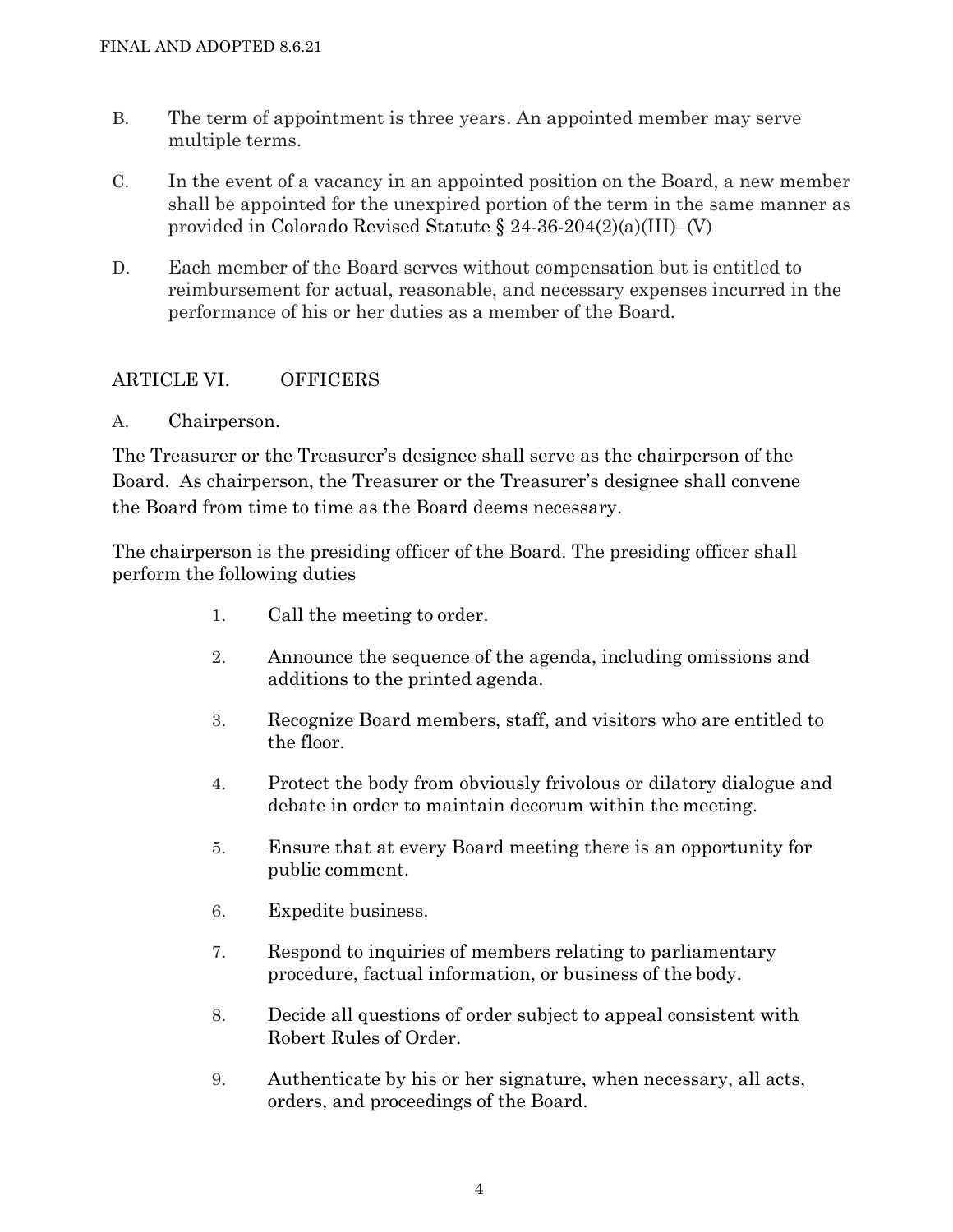- B. The term of appointment is three years. An appointed member may serve multiple terms.
- C. In the event of a vacancy in an appointed position on the Board, a new member shall be appointed for the unexpired portion of the term in the same manner as provided in Colorado Revised Statute § 24-36-204(2)(a)(III)–(V)
- D. Each member of the Board serves without compensation but is entitled to reimbursement for actual, reasonable, and necessary expenses incurred in the performance of his or her duties as a member of the Board.

## ARTICLE VI. OFFICERS

A. Chairperson.

The Treasurer or the Treasurer's designee shall serve as the chairperson of the Board. As chairperson, the Treasurer or the Treasurer's designee shall convene the Board from time to time as the Board deems necessary.

The chairperson is the presiding officer of the Board. The presiding officer shall perform the following duties

- 1. Call the meeting to order.
- 2. Announce the sequence of the agenda, including omissions and additions to the printed agenda.
- 3. Recognize Board members, staff, and visitors who are entitled to the floor.
- 4. Protect the body from obviously frivolous or dilatory dialogue and debate in order to maintain decorum within the meeting.
- 5. Ensure that at every Board meeting there is an opportunity for public comment.
- 6. Expedite business.
- 7. Respond to inquiries of members relating to parliamentary procedure, factual information, or business of the body.
- 8. Decide all questions of order subject to appeal consistent with Robert Rules of Order.
- 9. Authenticate by his or her signature, when necessary, all acts, orders, and proceedings of the Board.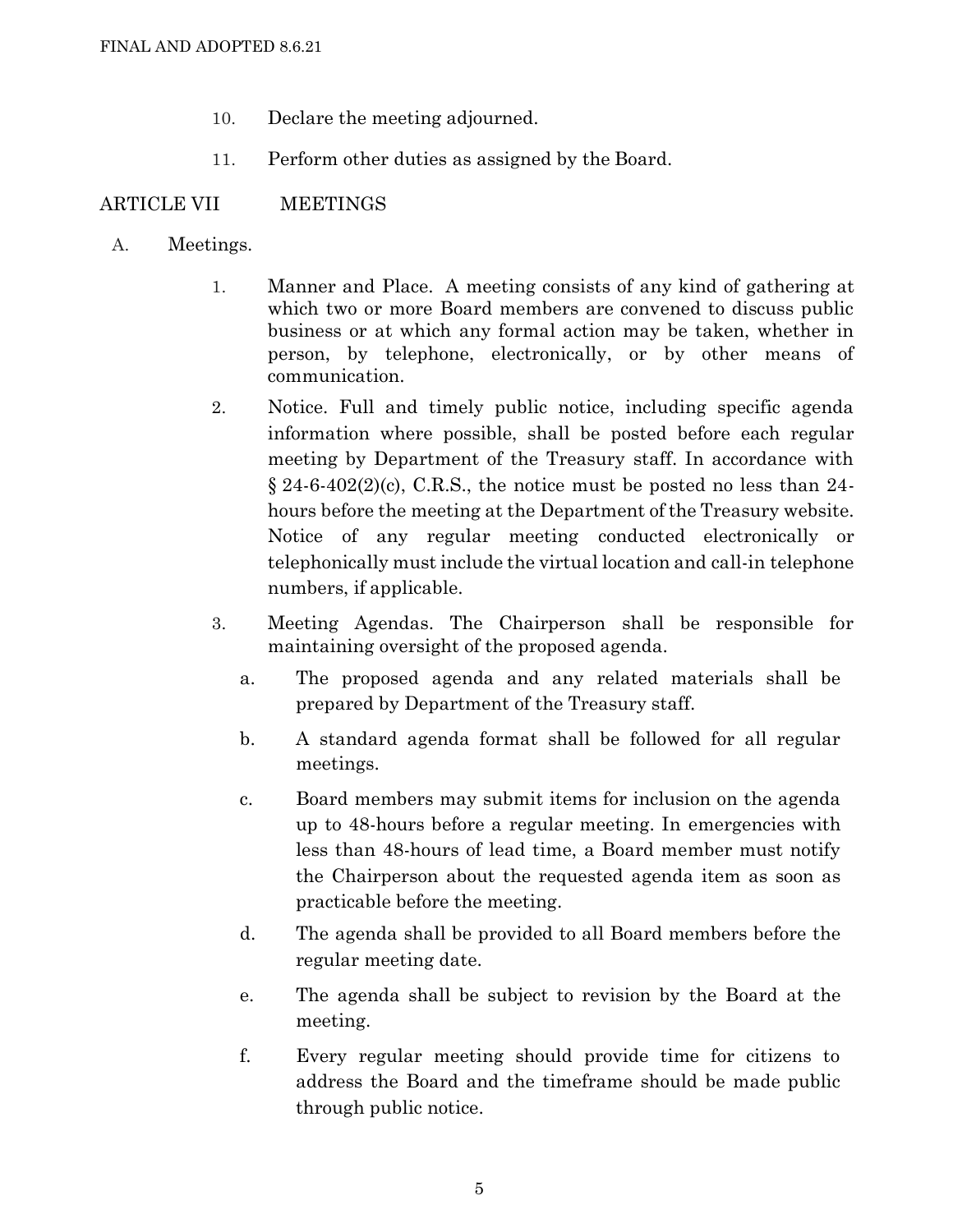- 10. Declare the meeting adjourned.
- 11. Perform other duties as assigned by the Board.

#### ARTICLE VII MEETINGS

- A. Meetings.
	- 1. Manner and Place. A meeting consists of any kind of gathering at which two or more Board members are convened to discuss public business or at which any formal action may be taken, whether in person, by telephone, electronically, or by other means of communication.
	- 2. Notice. Full and timely public notice, including specific agenda information where possible, shall be posted before each regular meeting by Department of the Treasury staff. In accordance with  $\S 24-6-402(2)$ (c), C.R.S., the notice must be posted no less than 24hours before the meeting at the Department of the Treasury website. Notice of any regular meeting conducted electronically or telephonically must include the virtual location and call-in telephone numbers, if applicable.
	- 3. Meeting Agendas. The Chairperson shall be responsible for maintaining oversight of the proposed agenda.
		- a. The proposed agenda and any related materials shall be prepared by Department of the Treasury staff.
		- b. A standard agenda format shall be followed for all regular meetings.
		- c. Board members may submit items for inclusion on the agenda up to 48-hours before a regular meeting. In emergencies with less than 48-hours of lead time, a Board member must notify the Chairperson about the requested agenda item as soon as practicable before the meeting.
		- d. The agenda shall be provided to all Board members before the regular meeting date.
		- e. The agenda shall be subject to revision by the Board at the meeting.
		- f. Every regular meeting should provide time for citizens to address the Board and the timeframe should be made public through public notice.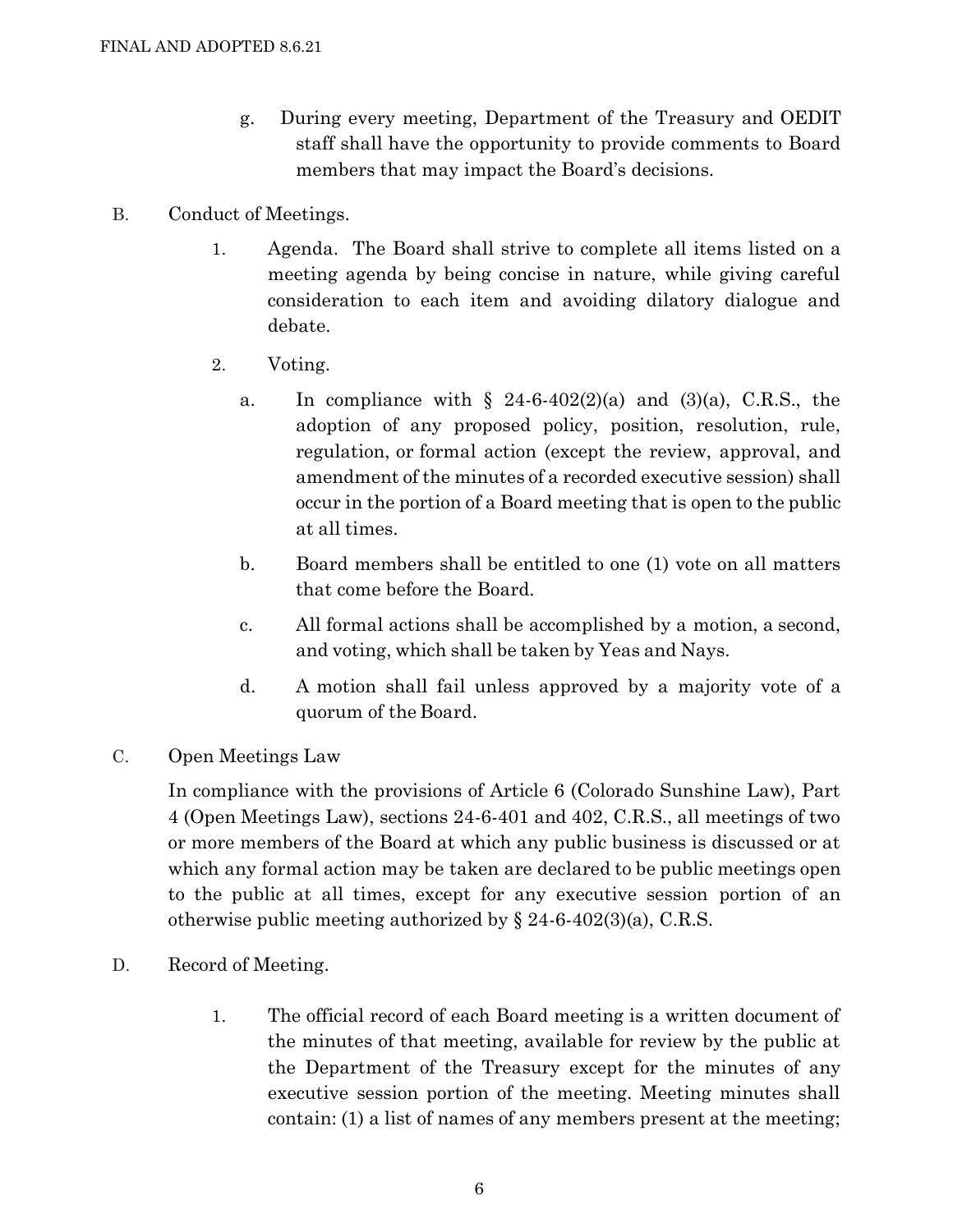- g. During every meeting, Department of the Treasury and OEDIT staff shall have the opportunity to provide comments to Board members that may impact the Board's decisions.
- B. Conduct of Meetings.
	- 1. Agenda. The Board shall strive to complete all items listed on a meeting agenda by being concise in nature, while giving careful consideration to each item and avoiding dilatory dialogue and debate.
	- 2. Voting.
		- a. In compliance with  $\S$  24-6-402(2)(a) and (3)(a), C.R.S., the adoption of any proposed policy, position, resolution, rule, regulation, or formal action (except the review, approval, and amendment of the minutes of a recorded executive session) shall occur in the portion of a Board meeting that is open to the public at all times.
		- b. Board members shall be entitled to one (1) vote on all matters that come before the Board.
		- c. All formal actions shall be accomplished by a motion, a second, and voting, which shall be taken by Yeas and Nays.
		- d. A motion shall fail unless approved by a majority vote of a quorum of the Board.
- C. Open Meetings Law

In compliance with the provisions of Article 6 (Colorado Sunshine Law), Part 4 (Open Meetings Law), sections 24-6-401 and 402, C.R.S., all meetings of two or more members of the Board at which any public business is discussed or at which any formal action may be taken are declared to be public meetings open to the public at all times, except for any executive session portion of an otherwise public meeting authorized by  $\S 24-6-402(3)(a)$ , C.R.S.

- D. Record of Meeting.
	- 1. The official record of each Board meeting is a written document of the minutes of that meeting, available for review by the public at the Department of the Treasury except for the minutes of any executive session portion of the meeting. Meeting minutes shall contain: (1) a list of names of any members present at the meeting;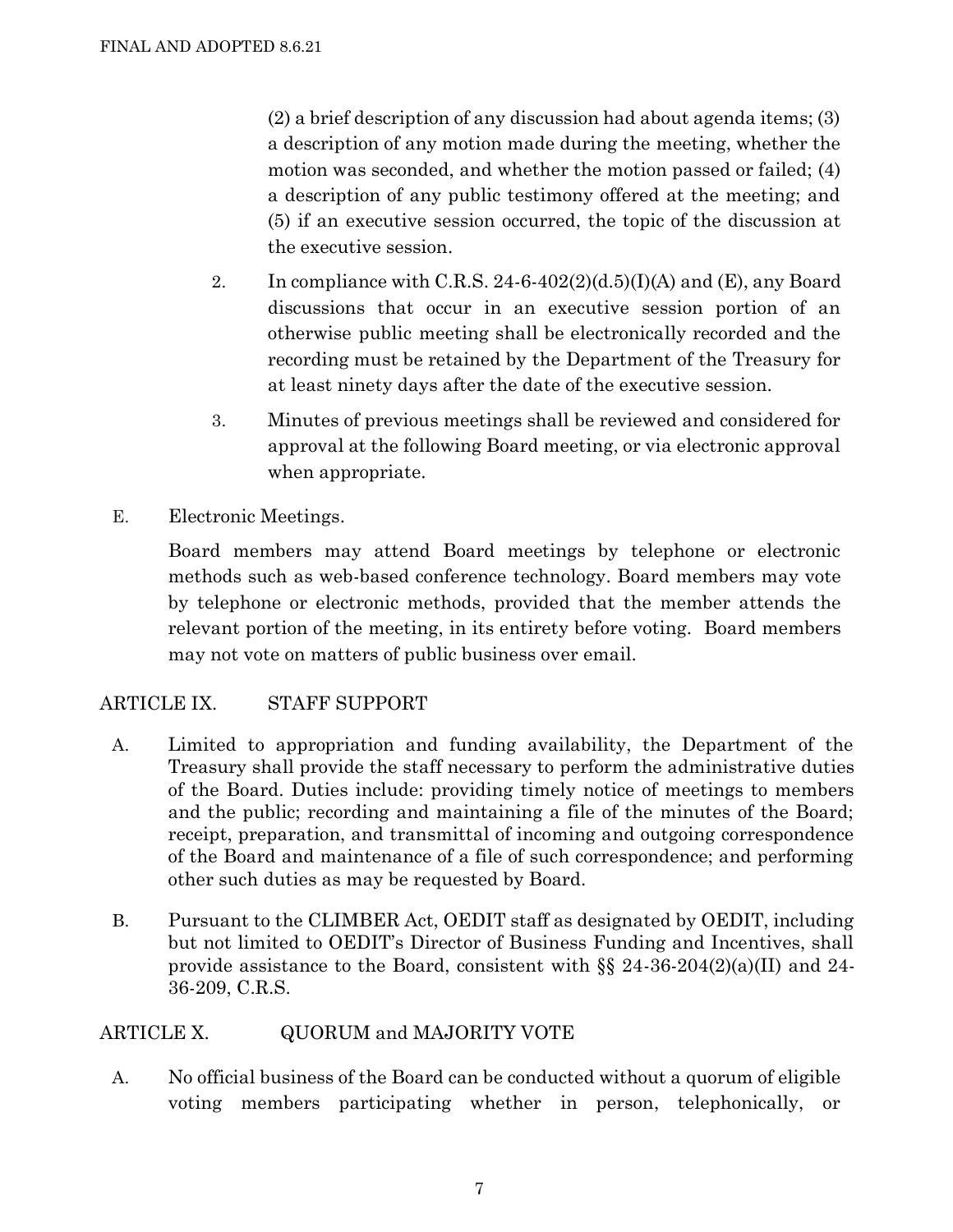(2) a brief description of any discussion had about agenda items; (3) a description of any motion made during the meeting, whether the motion was seconded, and whether the motion passed or failed; (4) a description of any public testimony offered at the meeting; and (5) if an executive session occurred, the topic of the discussion at the executive session.

- 2. In compliance with C.R.S. 24-6-402(2)(d.5)(I)(A) and (E), any Board discussions that occur in an executive session portion of an otherwise public meeting shall be electronically recorded and the recording must be retained by the Department of the Treasury for at least ninety days after the date of the executive session.
- 3. Minutes of previous meetings shall be reviewed and considered for approval at the following Board meeting, or via electronic approval when appropriate.
- E. Electronic Meetings.

Board members may attend Board meetings by telephone or electronic methods such as web-based conference technology. Board members may vote by telephone or electronic methods, provided that the member attends the relevant portion of the meeting, in its entirety before voting. Board members may not vote on matters of public business over email.

# ARTICLE IX. STAFF SUPPORT

- A. Limited to appropriation and funding availability, the Department of the Treasury shall provide the staff necessary to perform the administrative duties of the Board. Duties include: providing timely notice of meetings to members and the public; recording and maintaining a file of the minutes of the Board; receipt, preparation, and transmittal of incoming and outgoing correspondence of the Board and maintenance of a file of such correspondence; and performing other such duties as may be requested by Board.
- B. Pursuant to the CLIMBER Act, OEDIT staff as designated by OEDIT, including but not limited to OEDIT's Director of Business Funding and Incentives, shall provide assistance to the Board, consistent with  $\S\S 24-36-204(2)(a)(II)$  and 24-36-209, C.R.S.

## ARTICLE X. QUORUM and MAJORITY VOTE

A. No official business of the Board can be conducted without a quorum of eligible voting members participating whether in person, telephonically, or